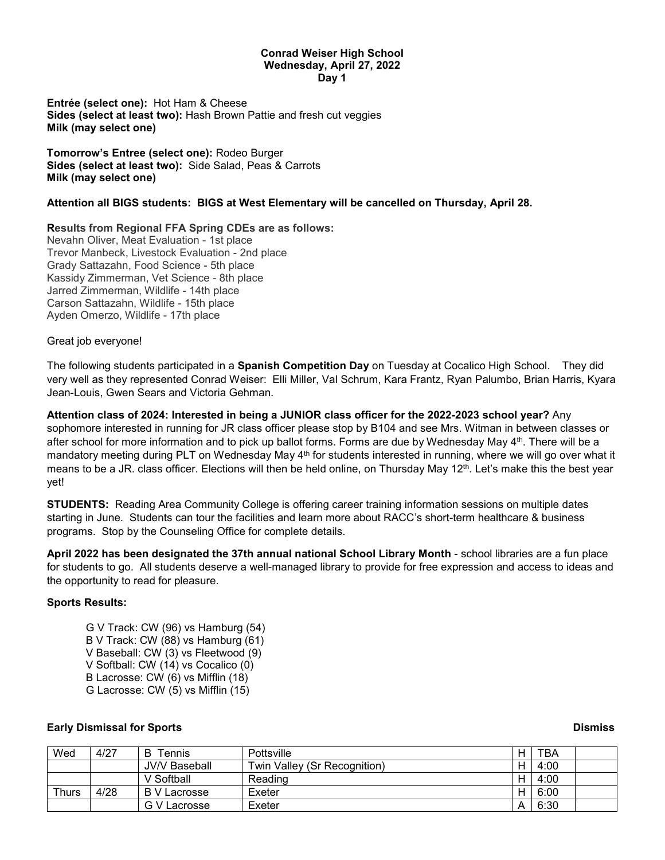#### **Conrad Weiser High School Wednesday, April 27, 2022 Day 1**

**Entrée (select one):** Hot Ham & Cheese **Sides (select at least two):** Hash Brown Pattie and fresh cut veggies **Milk (may select one)**

**Tomorrow's Entree (select one):** Rodeo Burger **Sides (select at least two):** Side Salad, Peas & Carrots **Milk (may select one)**

### **Attention all BIGS students: BIGS at West Elementary will be cancelled on Thursday, April 28.**

### **Results from Regional FFA Spring CDEs are as follows:**

Nevahn Oliver, Meat Evaluation - 1st place Trevor Manbeck, Livestock Evaluation - 2nd place Grady Sattazahn, Food Science - 5th place Kassidy Zimmerman, Vet Science - 8th place Jarred Zimmerman, Wildlife - 14th place Carson Sattazahn, Wildlife - 15th place Ayden Omerzo, Wildlife - 17th place

Great job everyone!

The following students participated in a **Spanish Competition Day** on Tuesday at Cocalico High School. They did very well as they represented Conrad Weiser: Elli Miller, Val Schrum, Kara Frantz, Ryan Palumbo, Brian Harris, Kyara Jean-Louis, Gwen Sears and Victoria Gehman.

**Attention class of 2024: Interested in being a JUNIOR class officer for the 2022-2023 school year?** Any sophomore interested in running for JR class officer please stop by B104 and see Mrs. Witman in between classes or after school for more information and to pick up ballot forms. Forms are due by Wednesday May 4<sup>th</sup>. There will be a mandatory meeting during PLT on Wednesday May 4<sup>th</sup> for students interested in running, where we will go over what it means to be a JR. class officer. Elections will then be held online, on Thursday May 12<sup>th</sup>. Let's make this the best year yet!

**STUDENTS:** Reading Area Community College is offering career training information sessions on multiple dates starting in June. Students can tour the facilities and learn more about RACC's short-term healthcare & business programs. Stop by the Counseling Office for complete details.

**April 2022 has been designated the 37th annual national School Library Month** - school libraries are a fun place for students to go. All students deserve a well-managed library to provide for free expression and access to ideas and the opportunity to read for pleasure.

### **Sports Results:**

G V Track: CW (96) vs Hamburg (54) B V Track: CW (88) vs Hamburg (61) V Baseball: CW (3) vs Fleetwood (9) V Softball: CW (14) vs Cocalico (0) B Lacrosse: CW (6) vs Mifflin (18) G Lacrosse: CW (5) vs Mifflin (15)

## **Early Dismissal for Sports Dismiss**

| Wed   | 4/27 | B<br>$\tau$ ennis    | Pottsville                   | н | <b>TBA</b> |  |
|-------|------|----------------------|------------------------------|---|------------|--|
|       |      | <b>JV/V Baseball</b> | Twin Valley (Sr Recognition) | н | 4:00       |  |
|       |      | V Softball           | Reading                      | H | 4:00       |  |
| Thurs | 4/28 | <b>B</b> V Lacrosse  | Exeter                       | H | 6:00       |  |
|       |      | G V Lacrosse         | Exeter                       | A | 6:30       |  |